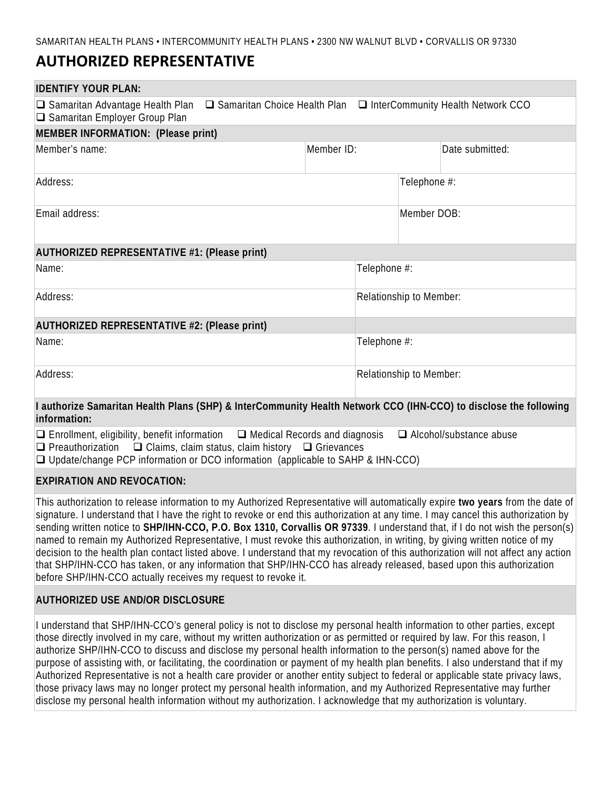# **AUTHORIZED REPRESENTATIVE**

| <b>IDENTIFY YOUR PLAN:</b>                                                                                                                                                                                         |              |                         |                                                                              |  |
|--------------------------------------------------------------------------------------------------------------------------------------------------------------------------------------------------------------------|--------------|-------------------------|------------------------------------------------------------------------------|--|
| $\Box$ Samaritan Advantage Health Plan<br>□ Samaritan Employer Group Plan                                                                                                                                          |              |                         | $\Box$ Samaritan Choice Health Plan $\Box$ InterCommunity Health Network CCO |  |
| <b>MEMBER INFORMATION: (Please print)</b>                                                                                                                                                                          |              |                         |                                                                              |  |
| Member's name:                                                                                                                                                                                                     | Member ID:   |                         | Date submitted:                                                              |  |
| Address:                                                                                                                                                                                                           |              |                         | Telephone #:                                                                 |  |
| Email address:                                                                                                                                                                                                     |              |                         | Member DOB:                                                                  |  |
| AUTHORIZED REPRESENTATIVE #1: (Please print)                                                                                                                                                                       |              |                         |                                                                              |  |
| Name:                                                                                                                                                                                                              | Telephone #: |                         |                                                                              |  |
| Address:                                                                                                                                                                                                           |              |                         | Relationship to Member:                                                      |  |
| <b>AUTHORIZED REPRESENTATIVE #2: (Please print)</b>                                                                                                                                                                |              |                         |                                                                              |  |
| Name:                                                                                                                                                                                                              |              | Telephone #:            |                                                                              |  |
| Address:                                                                                                                                                                                                           |              | Relationship to Member: |                                                                              |  |
| I authorize Samaritan Health Plans (SHP) & InterCommunity Health Network CCO (IHN-CCO) to disclose the following<br>information:                                                                                   |              |                         |                                                                              |  |
| $\Box$ Enrollment, eligibility, benefit information $\Box$ Medical Records and diagnosis<br>$\Box$ Alcohol/substance abuse<br>$\Box$ Preauthorization $\Box$ Claims, claim status, claim history $\Box$ Grievances |              |                         |                                                                              |  |

Update/change PCP information or DCO information (applicable to SAHP & IHN-CCO)

## **EXPIRATION AND REVOCATION:**

This authorization to release information to my Authorized Representative will automatically expire **two years** from the date of signature. I understand that I have the right to revoke or end this authorization at any time. I may cancel this authorization by sending written notice to **SHP/IHN-CCO, P.O. Box 1310, Corvallis OR 97339**. I understand that, if I do not wish the person(s) named to remain my Authorized Representative, I must revoke this authorization, in writing, by giving written notice of my decision to the health plan contact listed above. I understand that my revocation of this authorization will not affect any action that SHP/IHN-CCO has taken, or any information that SHP/IHN-CCO has already released, based upon this authorization before SHP/IHN-CCO actually receives my request to revoke it.

## **AUTHORIZED USE AND/OR DISCLOSURE**

I understand that SHP/IHN-CCO's general policy is not to disclose my personal health information to other parties, except those directly involved in my care, without my written authorization or as permitted or required by law. For this reason, I authorize SHP/IHN-CCO to discuss and disclose my personal health information to the person(s) named above for the purpose of assisting with, or facilitating, the coordination or payment of my health plan benefits. I also understand that if my Authorized Representative is not a health care provider or another entity subject to federal or applicable state privacy laws, those privacy laws may no longer protect my personal health information, and my Authorized Representative may further disclose my personal health information without my authorization. I acknowledge that my authorization is voluntary.